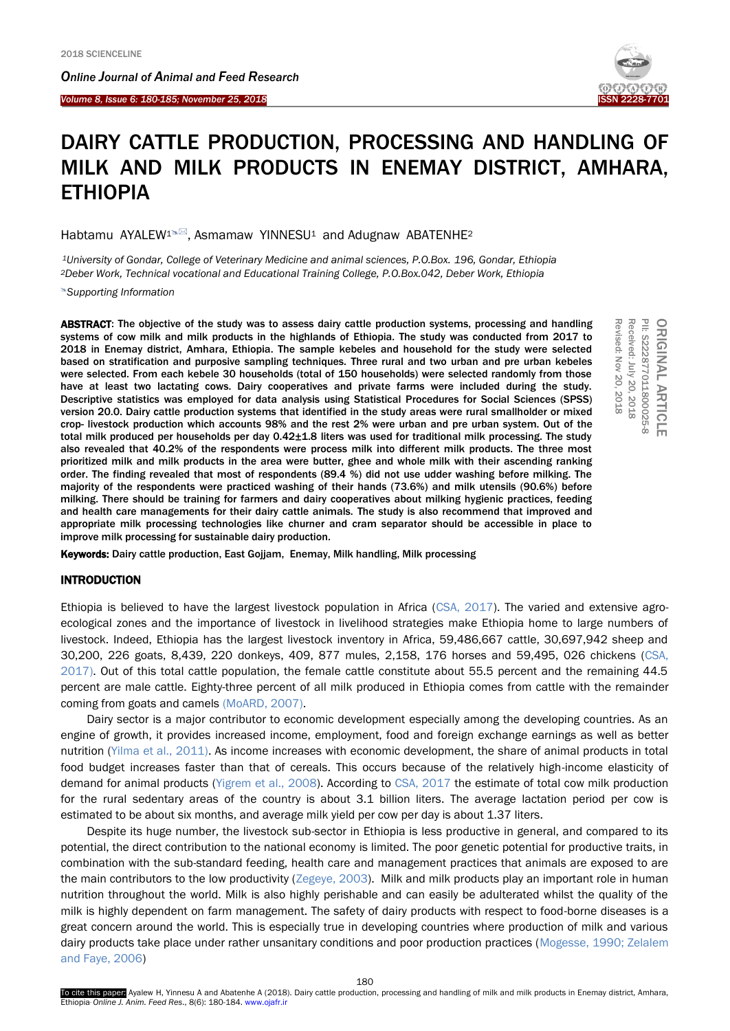*Online Journal of A[nimal and](http://www.ojafr.ir/main/) Feed Research*

*Volume 8, Issue 6: 180-185; November 25, 2018* I



# DAIRY CATTLE PRODUCTION, PROCESSING AND HANDLING OF MILK AND MILK PRODUCTS IN ENEMAY DISTRICT, AMHARA, ETHIOPIA

Habtamu AYALEW<sup>1N</sup>, Asmamaw YINNESU<sup>1</sup> and Adugnaw ABATENHE<sup>2</sup>

*<sup>1</sup>University of Gondar, College of Veterinary Medicine and animal sciences, P.O.Box. 196, Gondar, Ethiopia <sup>2</sup>Deber Work, Technical vocational and Educational Training College, P.O.Box.042, Deber Work, Ethiopia*

*[Supporting Information](#page-4-0)*

ABSTRACT: The objective of the study was to assess dairy cattle production systems, processing and handling systems of cow milk and milk products in the highlands of Ethiopia. The study was conducted from 2017 to 2018 in Enemay district, Amhara, Ethiopia. The sample kebeles and household for the study were selected based on stratification and purposive sampling techniques. Three rural and two urban and pre urban kebeles were selected. From each kebele 30 households (total of 150 households) were selected randomly from those have at least two lactating cows. Dairy cooperatives and private farms were included during the study. Descriptive statistics was employed for data analysis using Statistical Procedures for Social Sciences (SPSS) version 20.0. Dairy cattle production systems that identified in the study areas were rural smallholder or mixed crop- livestock production which accounts 98% and the rest 2% were urban and pre urban system. Out of the total milk produced per households per day 0.42±1.8 liters was used for traditional milk processing. The study also revealed that 40.2% of the respondents were process milk into different milk products. The three most prioritized milk and milk products in the area were butter, ghee and whole milk with their ascending ranking order. The finding revealed that most of respondents (89.4 %) did not use udder washing before milking. The majority of the respondents were practiced washing of their hands (73.6%) and milk utensils (90.6%) before milking. There should be training for farmers and dairy cooperatives about milking hygienic practices, feeding and health care managements for their dairy cattle animals. The study is also recommend that improved and appropriate milk processing technologies like churner and cram separator should be accessible in place to improve milk processing for sustainable dairy production.



Revised: Nov

Keywords: Dairy cattle production, East Gojjam, Enemay, Milk handling, Milk processing

#### INTRODUCTION

Ethiopia is believed to have the largest livestock population in Africa [\(CSA, 2017\).](#page-5-0) The varied and extensive agroecological zones and the importance of livestock in livelihood strategies make Ethiopia home to large numbers of livestock. Indeed, Ethiopia has the largest livestock inventory in Africa, 59,486,667 cattle, 30,697,942 sheep and 30,200, 226 goats, 8,439, 220 donkeys, 409, 877 mules, 2,158, 176 horses and 59,495, 026 chickens [\(CSA,](#page-4-0)  2017). Out of this total cattle population, the female cattle constitute about 55.5 percent and the remaining 44.5 percent are male cattle. Eighty-three percent of all milk produced in Ethiopia comes from cattle with the remainder coming from goats and camels [\(MoARD, 2007\).](#page-4-0) 

Dairy sector is a major contributor to economic development especially among the developing countries. As an engine of growth, it provides increased income, employment, food and foreign exchange earnings as well as better nutrition [\(Yilma et al.,](#page-4-0) 2011). As income increases with economic development, the share of animal products in total food budget increases faster than that of cereals. This occurs because of the relatively high-income elasticity of demand for animal products [\(Yigrem et al.,](#page-4-0) 2008). According to [CSA, 2017](#page-5-0) the estimate of total cow milk production for the rural sedentary areas of the country is about 3.1 billion liters. The average lactation period per cow is estimated to be about six months, and average milk yield per cow per day is about 1.37 liters.

Despite its huge number, the livestock sub-sector in Ethiopia is less productive in general, and compared to its potential, the direct contribution to the national economy is limited. The poor genetic potential for productive traits, in combination with the sub-standard feeding, health care and management practices that animals are exposed to are the main contributors to the low productivity [\(Zegeye, 2003\).](#page-5-0) Milk and milk products play an important role in human nutrition throughout the world. Milk is also highly perishable and can easily be adulterated whilst the quality of the milk is highly dependent on farm management. The safety of dairy products with respect to food-borne diseases is a great concern around the world. This is especially true in developing countries where production of milk and various dairy products take place under rather unsanitary conditions and poor production practices (Mogesse, 1990; Zelalem [and Faye, 2006\)](#page-5-0)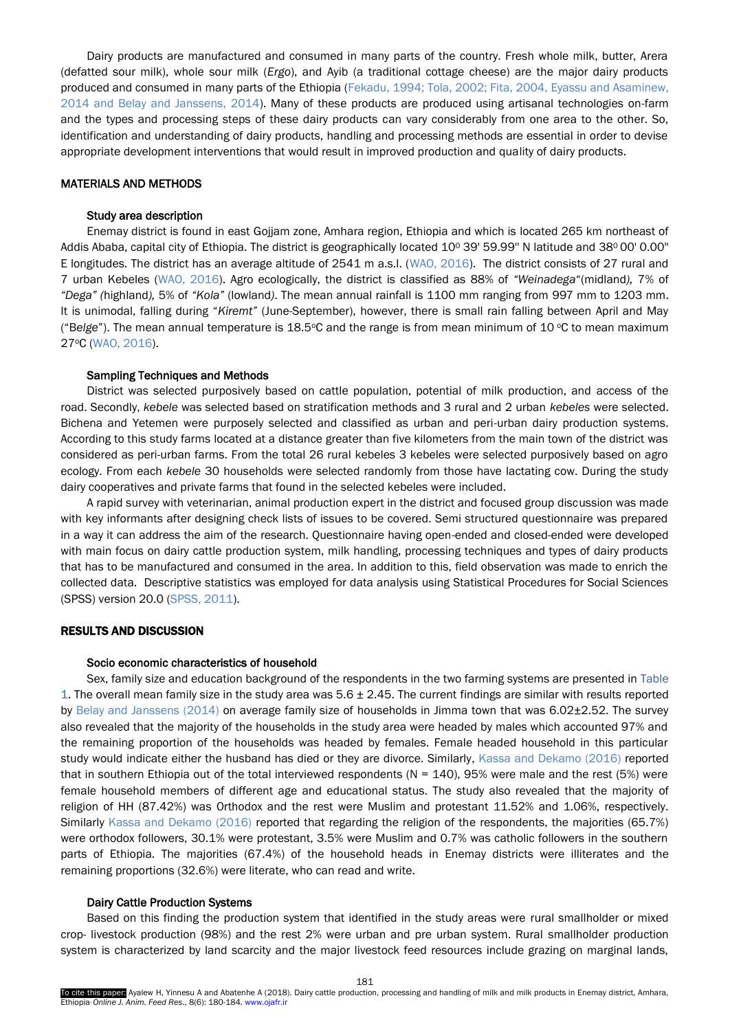Dairy products are manufactured and consumed in many parts of the country. Fresh whole milk, butter, Arera (defatted sour milk), whole sour milk (*Ergo*), and Ayib (a traditional cottage cheese) are the major dairy products produced and consumed in many parts of the Ethiopia (Fekadu, 1994; Tola, 2002; Fita, [2004, Eyassu and Asaminew,](#page-5-0) [2014 and Belay and Janssens, 2014\).](#page-5-0) Many of these products are produced using artisanal technologies on-farm and the types and processing steps of these dairy products can vary considerably from one area to the other. So, identification and understanding of dairy products, handling and processing methods are essential in order to devise appropriate development interventions that would result in improved production and quality of dairy products.

## MATERIALS AND METHODS

#### Study area description

Enemay district is found in east Gojjam zone, Amhara region, Ethiopia and which is located 265 km northeast of Addis Ababa, capital city of Ethiopia. The district is geographically located 10° 39' 59.99" N latitude and 38° 00' 0.00" E longitudes. The district has an average altitude of 2541 m a.s.l. [\(WAO, 2016\).](#page-5-0) The district consists of 27 rural and 7 urban Kebeles [\(WAO, 2016\).](#page-5-0) Agro ecologically, the district is classified as 88% of *"Weinadega*"(midland*),* 7% of *"Dega" (*highland*),* 5% of *"Kola"* (lowland*)*. The mean annual rainfall is 1100 mm ranging from 997 mm to 1203 mm. It is unimodal, falling during "*Kiremt"* (June-September), however, there is small rain falling between April and May ("Belge"). The mean annual temperature is 18.5°C and the range is from mean minimum of 10 °C to mean maximum 27oC [\(WAO, 2016\).](#page-5-0)

#### Sampling Techniques and Methods

District was selected purposively based on cattle population, potential of milk production, and access of the road. Secondly, *kebele* was selected based on stratification methods and 3 rural and 2 urban *kebeles* were selected. Bichena and Yetemen were purposely selected and classified as urban and peri-urban dairy production systems. According to this study farms located at a distance greater than five kilometers from the main town of the district was considered as peri-urban farms. From the total 26 rural kebeles 3 kebeles were selected purposively based on agro ecology. From each *kebele* 30 households were selected randomly from those have lactating cow. During the study dairy cooperatives and private farms that found in the selected kebeles were included.

A rapid survey with veterinarian, animal production expert in the district and focused group discussion was made with key informants after designing check lists of issues to be covered. Semi structured questionnaire was prepared in a way it can address the aim of the research. Questionnaire having open-ended and closed-ended were developed with main focus on dairy cattle production system, milk handling, processing techniques and types of dairy products that has to be manufactured and consumed in the area. In addition to this, field observation was made to enrich the collected data. Descriptive statistics was employed for data analysis using Statistical Procedures for Social Sciences (SPSS) version 20.0 [\(SPSS, 2011\).](#page-5-0) 

## RESULTS AND DISCUSSION

## Socio economic characteristics of household

Sex, family size and education background of the respondents in the two farming systems are presented in Table 1. The overall mean family size in the study area was  $5.6 \pm 2.45$ . The current findings are similar with results reported by [Belay and Janssens \(2014\)](#page-5-0) on average family size of households in Jimma town that was 6.02±2.52. The survey also revealed that the majority of the households in the study area were headed by males which accounted 97% and the remaining proportion of the households was headed by females. Female headed household in this particular study would indicate either the husband has died or they are divorce. Similarly, [Kassa and Dekamo](#page-5-0) (2016) reported that in southern Ethiopia out of the total interviewed respondents ( $N = 140$ ), 95% were male and the rest (5%) were female household members of different age and educational status. The study also revealed that the majority of religion of HH (87.42%) was Orthodox and the rest were Muslim and protestant 11.52% and 1.06%, respectively. Similarly [Kassa and Dekamo \(2016\)](#page-5-0) reported that regarding the religion of the respondents, the majorities (65.7%) were orthodox followers, 30.1% were protestant, 3.5% were Muslim and 0.7% was catholic followers in the southern parts of Ethiopia. The majorities (67.4%) of the household heads in Enemay districts were illiterates and the remaining proportions (32.6%) were literate, who can read and write.

## Dairy Cattle Production Systems

Based on this finding the production system that identified in the study areas wererural smallholder ormixed crop- livestock production (98%) and the rest 2% were urban and pre urban system. Rural smallholder production system is characterized by land scarcity and the major livestock feed resources include grazing on marginal lands,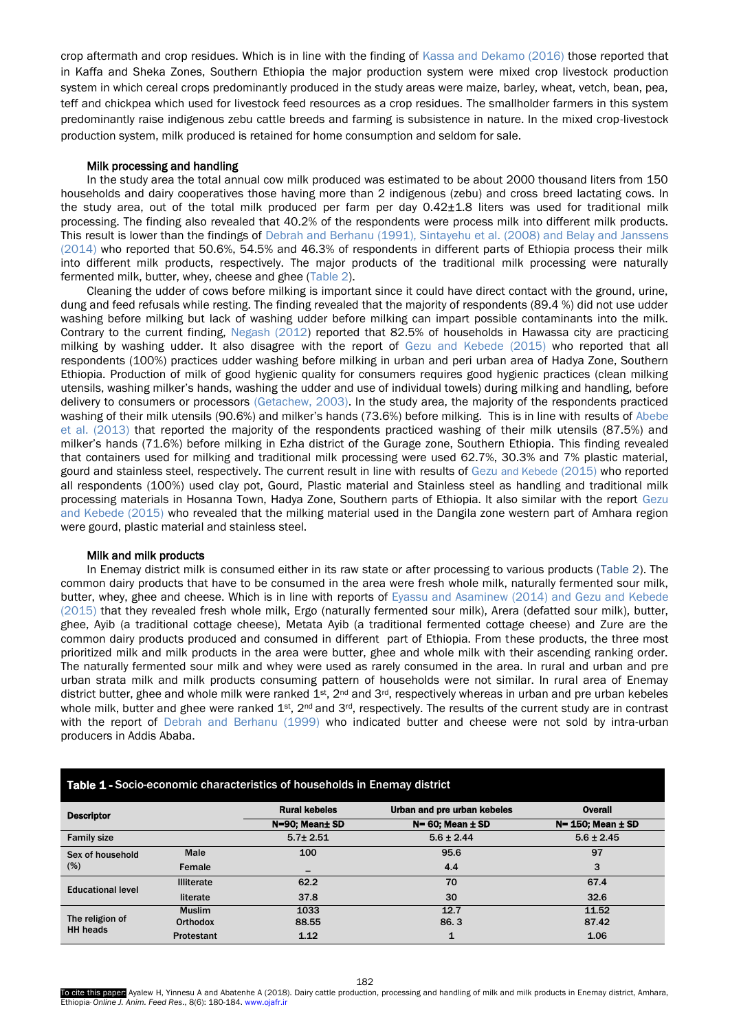crop aftermath and crop residues. Which is in line with the finding of [Kassa and Dekamo \(2016\)](#page-5-0) those reported that in Kaffa and Sheka Zones, Southern Ethiopia the major production system were mixed crop livestock production system in which cereal crops predominantly produced in the study areas were maize, barley, wheat, vetch, bean, pea, teff and chickpea which used for livestock feed resources as a crop residues. The smallholder farmers in this system predominantly raise indigenous zebu cattle breeds and farming is subsistence in nature. In the mixed crop-livestock production system, milk produced is retained for home consumption and seldom for sale.

#### Milk processing and handling

In the study area the total annual cow milk produced was estimated to be about 2000 thousand liters from 150 households and dairy cooperatives those having more than 2 indigenous (zebu) and cross breed lactating cows. In the study area, out of the total milk produced per farm per day 0.42±1.8 liters was used for traditional milk processing. The finding also revealed that 40.2% of the respondents were process milk into different milk products. This result is lower than the findings of Debrah and Berhanu (1991), Sintayehu et al. (2008) and Belay and Janssens (2014) who reported that 50.6%, 54.5% and 46.3% of respondents in different parts of Ethiopia process their milk into different milk products, respectively. The major products of the traditional milk processing were naturally fermented milk, butter, whey, cheese and ghee (Table 2).

Cleaning the udder of cows before milking is important since it could have direct contact with the ground, urine, dung and feed refusals while resting. The finding revealed that the majority of respondents (89.4 %) did not use udder washing before milking but lack of washing udder before milking can impart possible contaminants into the milk. Contrary to the current finding, [Negash \(2012\)](#page-5-0) reported that 82.5% of households in Hawassa city are practicing milking by washing udder. It also disagree with the report of [Gezu and Kebede \(2015\)](#page-5-0) who reported that all respondents (100%) practices udder washing before milking in urban and peri urban area of Hadya Zone, Southern Ethiopia. Production of milk of good hygienic quality for consumers requires good hygienic practices (clean milking utensils, washing milker's hands, washing the udder and use of individual towels) during milking and handling, before delivery to consumers or processors [\(Getachew, 2003\).](#page-5-0) In the study area, the majority of the respondents practiced washing of their milk utensils (90.6%) and milker's hands (73.6%) before milking. This is in line with results of [Abebe](#page-5-0)  et al. [\(2013\)](#page-5-0) that reported the majority of the respondents practiced washing of their milk utensils (87.5%) and milker's hands (71.6%) before milking in Ezha district of the Gurage zone, Southern Ethiopia. This finding revealed that containers used for milking and traditional milk processing were used 62.7%, 30.3% and 7% plastic material, gourd and stainless steel, respectively. The current result in line with results of Gezu [and Kebede](#page-5-0) (2015) who reported all respondents (100%) used clay pot, Gourd, Plastic material and Stainless steel as handling and traditional milk processing materials in Hosanna Town, Hadya Zone, Southern parts of Ethiopia. It also similar with the report Gezu [and Kebede \(2015\)](#page-5-0) who revealed that the milking material used in the Dangila zone western part of Amhara region were gourd, plastic material and stainless steel.

#### Milk and milk products

In Enemay district milk is consumed either in its raw state or after processing to various products (Table 2). The common dairy products that have to be consumed in the area were fresh whole milk, naturally fermented sour milk, butter, whey, ghee and cheese. Which is in line with reports of [Eyassu and Asaminew \(2014\) and Gezu and Kebede](#page-5-0)  (2015) that they revealed fresh whole milk, Ergo (naturally fermented sour milk), Arera (defatted sour milk), butter, ghee, Ayib (a traditional cottage cheese), Metata Ayib (a traditional fermented cottage cheese) and Zure are the common dairy products produced and consumed in different part of Ethiopia. From these products, the three most prioritized milk and milk products in the area were butter, ghee and whole milk with their ascending ranking order. The naturally fermented sour milk and whey were used as rarely consumed in the area. In rural and urban and pre urban strata milk and milk products consuming pattern of households were not similar. In rural area of Enemay district butter, ghee and whole milk were ranked  $1^{st}$ ,  $2^{nd}$  and  $3^{rd}$ , respectively whereas in urban and pre urban kebeles whole milk, butter and ghee were ranked  $1^{st}$ ,  $2^{nd}$  and  $3^{rd}$ , respectively. The results of the current study are in contrast with the report of [Debrah and Berhanu \(1999\)](#page-5-0) who indicated butter and cheese were not sold by intra-urban producers in Addis Ababa.

| <b>Table 1 - Socio-economic characteristics of households in Enemay district</b> |                   |                          |                             |                         |  |  |  |  |  |  |
|----------------------------------------------------------------------------------|-------------------|--------------------------|-----------------------------|-------------------------|--|--|--|--|--|--|
| <b>Descriptor</b>                                                                |                   | <b>Rural kebeles</b>     | Urban and pre urban kebeles | <b>Overall</b>          |  |  |  |  |  |  |
|                                                                                  |                   | N=90; Mean± SD           | $N = 60$ ; Mean $\pm$ SD    | $N=$ 150; Mean $\pm$ SD |  |  |  |  |  |  |
| <b>Family size</b>                                                               |                   | $5.7 \pm 2.51$           | $5.6 \pm 2.44$              | $5.6 \pm 2.45$          |  |  |  |  |  |  |
| Sex of household<br>(%)                                                          | <b>Male</b>       | 100                      | 95.6                        | 97                      |  |  |  |  |  |  |
|                                                                                  | Female            | $\overline{\phantom{m}}$ | 4.4                         | 3                       |  |  |  |  |  |  |
| <b>Educational level</b>                                                         | <b>Illiterate</b> | 62.2                     | 70                          | 67.4                    |  |  |  |  |  |  |
|                                                                                  | literate          | 37.8                     | 30                          | 32.6                    |  |  |  |  |  |  |
| The religion of<br><b>HH</b> heads                                               | <b>Muslim</b>     | 1033                     | 12.7                        | 11.52                   |  |  |  |  |  |  |
|                                                                                  | <b>Orthodox</b>   | 88.55                    | 86.3                        | 87.42                   |  |  |  |  |  |  |
|                                                                                  | <b>Protestant</b> | 1.12                     |                             | 1.06                    |  |  |  |  |  |  |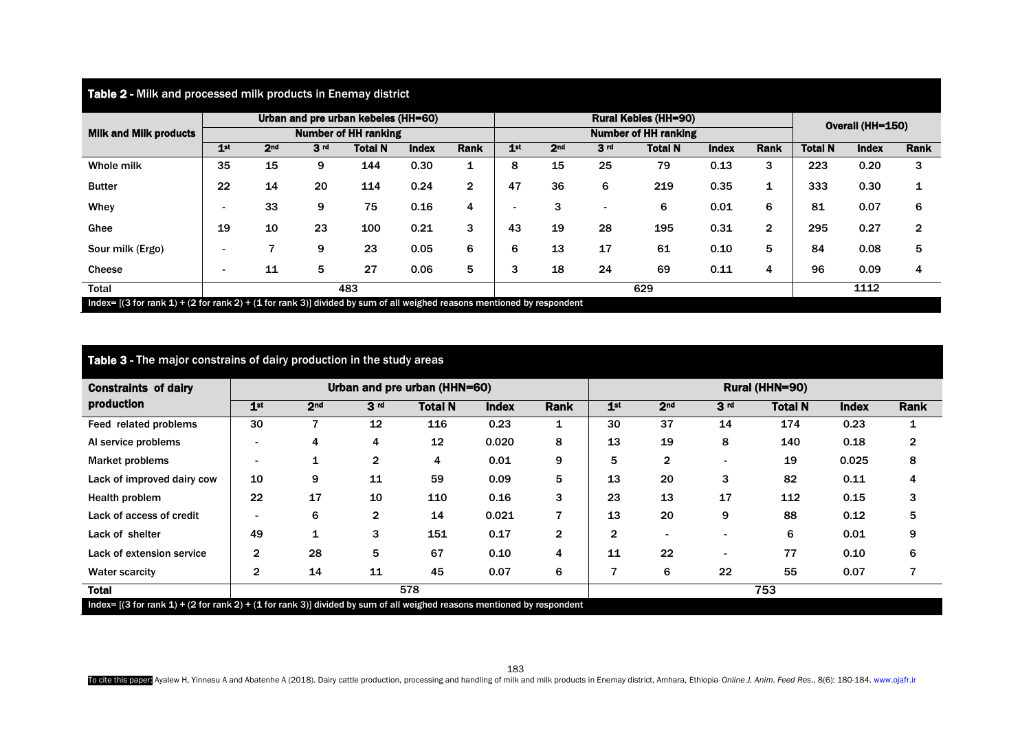| Table 2 - Milk and processed milk products in Enemay district                                                                   |                                                                    |                 |                 |                |              |                |     |                 |                             |                  |              |                |                |              |                |
|---------------------------------------------------------------------------------------------------------------------------------|--------------------------------------------------------------------|-----------------|-----------------|----------------|--------------|----------------|-----|-----------------|-----------------------------|------------------|--------------|----------------|----------------|--------------|----------------|
| <b>Milk and Milk products</b>                                                                                                   | Urban and pre urban kebeles (HH=60)<br><b>Number of HH ranking</b> |                 |                 |                |              |                |     |                 | <b>Rural Kebles (HH=90)</b> | Overall (HH=150) |              |                |                |              |                |
|                                                                                                                                 |                                                                    |                 |                 |                |              |                |     |                 | <b>Number of HH ranking</b> |                  |              |                |                |              |                |
|                                                                                                                                 | 1 <sub>st</sub>                                                    | 2 <sub>nd</sub> | 3 <sub>rd</sub> | <b>Total N</b> | <b>Index</b> | <b>Rank</b>    | 1st | 2 <sub>nd</sub> | 3 <sub>rd</sub>             | <b>Total N</b>   | <b>Index</b> | <b>Rank</b>    | <b>Total N</b> | <b>Index</b> | <b>Rank</b>    |
| Whole milk                                                                                                                      | 35                                                                 | 15              | 9               | 144            | 0.30         | 1              | 8   | 15              | 25                          | 79               | 0.13         | 3              | 223            | 0.20         | 3              |
| <b>Butter</b>                                                                                                                   | 22                                                                 | 14              | 20              | 114            | 0.24         | $\overline{2}$ | 47  | 36              | 6                           | 219              | 0.35         | 1              | 333            | 0.30         | 1              |
| Whey                                                                                                                            | $\overline{\phantom{a}}$                                           | 33              | 9               | 75             | 0.16         | 4              |     | 3               | $\overline{\phantom{0}}$    | 6                | 0.01         | 6              | 81             | 0.07         | 6              |
| Ghee                                                                                                                            | 19                                                                 | 10              | 23              | 100            | 0.21         | 3              | 43  | 19              | 28                          | 195              | 0.31         | $\overline{2}$ | 295            | 0.27         | $\overline{2}$ |
| Sour milk (Ergo)                                                                                                                |                                                                    | 7               | 9               | 23             | 0.05         | 6              | 6   | 13              | 17                          | 61               | 0.10         | 5              | 84             | 0.08         | 5              |
| Cheese                                                                                                                          | $\overline{\phantom{a}}$                                           | 11              | 5               | 27             | 0.06         | 5              | 3   | 18              | 24                          | 69               | 0.11         | 4              | 96             | 0.09         | 4              |
| Total                                                                                                                           | 483                                                                |                 |                 |                |              |                |     |                 |                             | 1112             |              |                |                |              |                |
| Index= $[(3$ for rank 1) + $(2)$ for rank 2) + $(1)$ for rank 3)] divided by sum of all weighed reasons mentioned by respondent |                                                                    |                 |                 |                |              |                |     |                 |                             |                  |              |                |                |              |                |

| <b>Table 3 - The major constrains of dairy production in the study areas</b>                                              |                              |                 |                 |                |              |              |                 |                 |                 |                |              |      |  |
|---------------------------------------------------------------------------------------------------------------------------|------------------------------|-----------------|-----------------|----------------|--------------|--------------|-----------------|-----------------|-----------------|----------------|--------------|------|--|
| <b>Constraints of dairy</b><br>production                                                                                 | Urban and pre urban (HHN=60) |                 |                 |                |              |              | Rural (HHN=90)  |                 |                 |                |              |      |  |
|                                                                                                                           | 1 <sup>st</sup>              | 2 <sub>nd</sub> | 3 <sub>rd</sub> | <b>Total N</b> | <b>Index</b> | <b>Rank</b>  | 1 <sup>st</sup> | 2 <sub>nd</sub> | 3 <sup>rd</sup> | <b>Total N</b> | <b>Index</b> | Rank |  |
| Feed related problems                                                                                                     | 30                           | 7               | 12              | 116            | 0.23         | 1            | 30              | 37              | 14              | 174            | 0.23         |      |  |
| Al service problems                                                                                                       |                              | 4               | 4               | 12             | 0.020        | 8            | 13              | 19              | 8               | 140            | 0.18         | 2    |  |
| <b>Market problems</b>                                                                                                    |                              |                 | $\mathbf{2}$    | 4              | 0.01         | 9            | 5               | $\overline{2}$  |                 | 19             | 0.025        | 8    |  |
| Lack of improved dairy cow                                                                                                | 10                           | 9               | 11              | 59             | 0.09         | 5            | 13              | 20              | 3               | 82             | 0.11         | 4    |  |
| Health problem                                                                                                            | 22                           | 17              | 10              | 110            | 0.16         | 3            | 23              | 13              | 17              | 112            | 0.15         | 3    |  |
| Lack of access of credit                                                                                                  |                              | 6               | $\mathbf{2}$    | 14             | 0.021        | 7            | 13              | 20              | 9               | 88             | 0.12         | 5    |  |
| Lack of shelter                                                                                                           | 49                           |                 | 3               | 151            | 0.17         | $\mathbf{2}$ | $\mathbf{2}$    |                 |                 | 6              | 0.01         | 9    |  |
| Lack of extension service                                                                                                 | $\overline{2}$               | 28              | 5               | 67             | 0.10         | 4            | 11              | 22              |                 | 77             | 0.10         | 6    |  |
| <b>Water scarcity</b>                                                                                                     | $\overline{2}$               | 14              | 11              | 45             | 0.07         | 6            | 7               | 6               | 22              | 55             | 0.07         |      |  |
| <b>Total</b>                                                                                                              | 578                          |                 |                 |                |              |              | 753             |                 |                 |                |              |      |  |
| Index= $[(3 for rank 1) + (2 for rank 2) + (1 for rank 3)]$ divided by sum of all weighed reasons mentioned by respondent |                              |                 |                 |                |              |              |                 |                 |                 |                |              |      |  |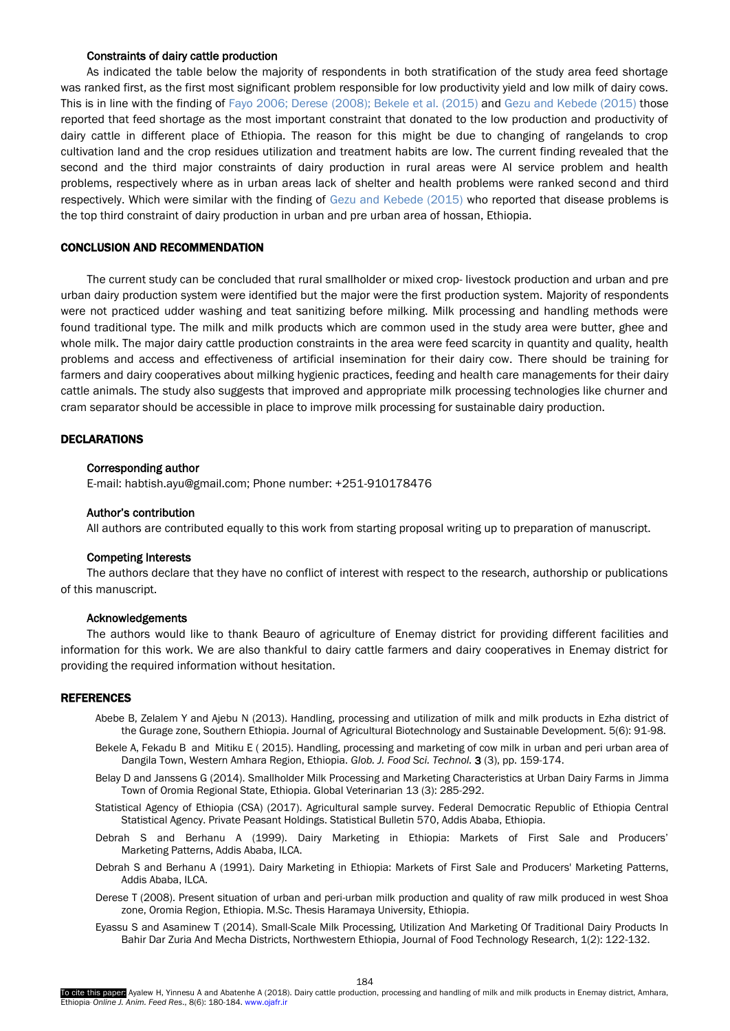## Constraints of dairy cattle production

<span id="page-4-0"></span>As indicated the table below the majority of respondents in both stratification of the study area feed shortage was ranked first, as the first most significant problem responsible for low productivity yield and low milk of dairy cows. This is in line with the finding of Fayo 2006; Derese (2008); Bekele et al. (2015) and [Gezu and Kebede \(2015\)](#page-5-0) those reported that feed shortage as the most important constraint that donated to the low production and productivity of dairy cattle in different place of Ethiopia. The reason for this might be due to changing of rangelands to crop cultivation land and the crop residues utilization and treatment habits are low. The current finding revealed that the second and the third major constraints of dairy production in rural areas were AI service problem and health problems, respectively where as in urban areas lack of shelter and health problems were ranked second and third respectively. Which were similar with the finding of [Gezu and Kebede \(2015\)](#page-5-0) who reported that disease problems is the top third constraint of dairy production in urban and pre urban area of hossan, Ethiopia.

## CONCLUSION AND RECOMMENDATION

The current study can be concluded that rural smallholder or mixed crop- livestock production and urban and pre urban dairy production system were identified but the major were the first production system. Majority of respondents were not practiced udder washing and teat sanitizing before milking. Milk processing and handling methods were found traditional type. The milk and milk products which are common used in the study area were butter, ghee and whole milk. The major dairy cattle production constraints in the area were feed scarcity in quantity and quality, health problems and access and effectiveness of artificial insemination for their dairy cow. There should be training for farmers and dairy cooperatives about milking hygienic practices, feeding and health care managements for their dairy cattle animals. The study also suggests that improved and appropriate milk processing technologies like churner and cram separator should be accessible in place to improve milk processing for sustainable dairy production.

#### DECLARATIONS

#### Corresponding author

E-mail: habtish.ayu@gmail.com; Phone number: +251-910178476

#### Author's contribution

All authors are contributed equally to this work from starting proposal writing up to preparation of manuscript.

## Competing Interests

The authors declare that they have no conflict of interest with respect to the research, authorship or publications of this manuscript.

#### Acknowledgements

The authors would like to thank Beauro of agriculture of Enemay district for providing different facilities and information for this work. We are also thankful to dairy cattle farmers and dairy cooperatives in Enemay district for providing the required information without hesitation.

#### REFERENCES

- Abebe B, Zelalem Y and Ajebu N (2013). Handling, processing and utilization of milk and milk products in Ezha district of the Gurage zone, Southern Ethiopia. Journal of Agricultural Biotechnology and Sustainable Development. 5(6): 91-98.
- Bekele A, Fekadu B and Mitiku E ( 2015). Handling, processing and marketing of cow milk in urban and peri urban area of Dangila Town, Western Amhara Region, Ethiopia. *Glob. J. Food Sci. Technol.* 3 (3), pp. 159-174.
- Belay D and Janssens G (2014). Smallholder Milk Processing and Marketing Characteristics at Urban Dairy Farms in Jimma Town of Oromia Regional State, Ethiopia. Global Veterinarian 13 (3): 285-292.
- Statistical Agency of Ethiopia (CSA) (2017). Agricultural sample survey. Federal Democratic Republic of Ethiopia Central Statistical Agency. Private Peasant Holdings. Statistical Bulletin 570, Addis Ababa, Ethiopia.
- Debrah S and Berhanu A (1999). Dairy Marketing in Ethiopia: Markets of First Sale and Producers' Marketing Patterns, Addis Ababa, ILCA.
- Debrah S and Berhanu A (1991). Dairy Marketing in Ethiopia: Markets of First Sale and Producers' Marketing Patterns, Addis Ababa, ILCA.
- Derese T (2008). Present situation of urban and peri-urban milk production and quality of raw milk produced in west Shoa zone, Oromia Region, Ethiopia. M.Sc. Thesis Haramaya University, Ethiopia.
- Eyassu S and Asaminew T (2014). Small-Scale Milk Processing, Utilization And Marketing Of Traditional Dairy Products In Bahir Dar Zuria And Mecha Districts, Northwestern Ethiopia, Journal of Food Technology Research, 1(2): 122-132.